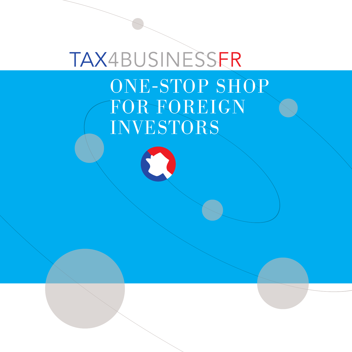# TAX4BUSINESSFR ONE-STOP SHOP FOR FOREIGN INVESTORS

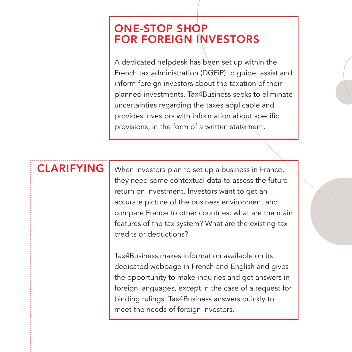#### ONE-STOP SHOP FOR FOREIGN INVESTORS

A dedicated helpdesk has been set up within the French tax administration (DGFiP) to guide, assist and inform foreign investors about the taxation of their planned investments. Tax4Business seeks to eliminate uncertainties regarding the taxes applicable and provides investors with information about specific provisions, in the form of a written statement.

## CLARIFYING

When investors plan to set up a business in France, they need some contextual data to assess the future return on investment. Investors want to get an accurate picture of the business environment and compare France to other countries: what are the main features of the tax system? What are the existing tax credits or deductions?

Tax4Business makes information available on its dedicated webpage in French and English and gives the opportunity to make inquiries and get answers in foreign languages, except in the case of a request for binding rulings. Tax4Business answers quickly to meet the needs of foreign investors.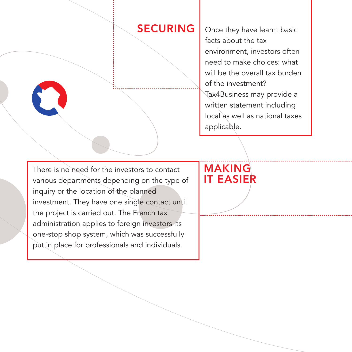#### **SECURING**

Once they have learnt basic facts about the tax environment, investors often need to make choices: what will be the overall tax burden of the investment? Tax4Business may provide a written statement including local as well as national taxes applicable.

There is no need for the investors to contact various departments depending on the type of inquiry or the location of the planned investment. They have one single contact until the project is carried out. The French tax administration applies to foreign investors its one-stop shop system, which was successfully put in place for professionals and individuals.

## MAKING IT EASIER